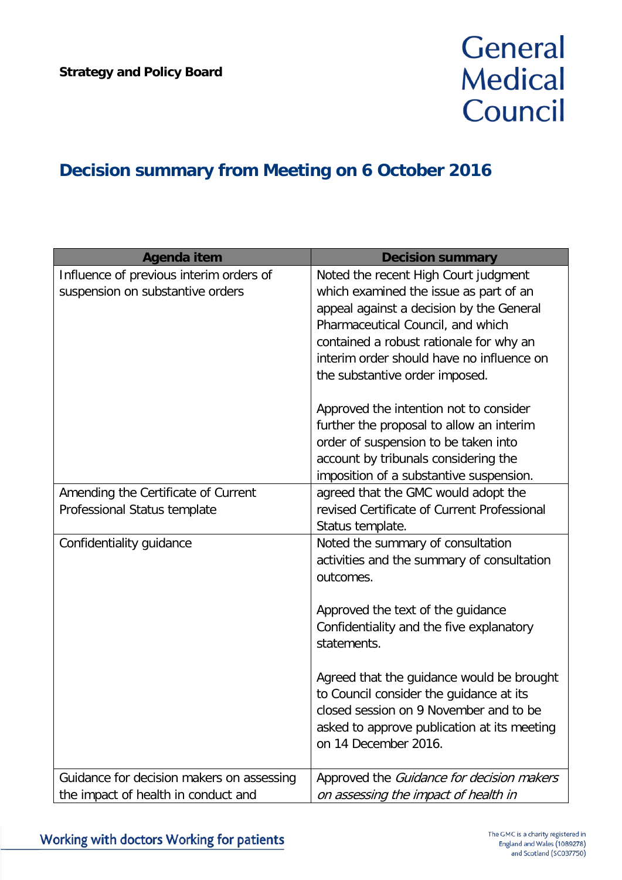## General **Medical** Council

## **Decision summary from Meeting on 6 October 2016**

| <b>Agenda item</b>                        | <b>Decision summary</b>                     |
|-------------------------------------------|---------------------------------------------|
| Influence of previous interim orders of   | Noted the recent High Court judgment        |
| suspension on substantive orders          | which examined the issue as part of an      |
|                                           | appeal against a decision by the General    |
|                                           | Pharmaceutical Council, and which           |
|                                           | contained a robust rationale for why an     |
|                                           | interim order should have no influence on   |
|                                           | the substantive order imposed.              |
|                                           | Approved the intention not to consider      |
|                                           | further the proposal to allow an interim    |
|                                           | order of suspension to be taken into        |
|                                           | account by tribunals considering the        |
|                                           | imposition of a substantive suspension.     |
| Amending the Certificate of Current       | agreed that the GMC would adopt the         |
| Professional Status template              | revised Certificate of Current Professional |
|                                           | Status template.                            |
| Confidentiality guidance                  | Noted the summary of consultation           |
|                                           | activities and the summary of consultation  |
|                                           | outcomes.                                   |
|                                           | Approved the text of the guidance           |
|                                           | Confidentiality and the five explanatory    |
|                                           | statements.                                 |
|                                           |                                             |
|                                           | Agreed that the guidance would be brought   |
|                                           | to Council consider the guidance at its     |
|                                           | closed session on 9 November and to be      |
|                                           | asked to approve publication at its meeting |
|                                           | on 14 December 2016.                        |
| Guidance for decision makers on assessing | Approved the Guidance for decision makers   |
| the impact of health in conduct and       | on assessing the impact of health in        |